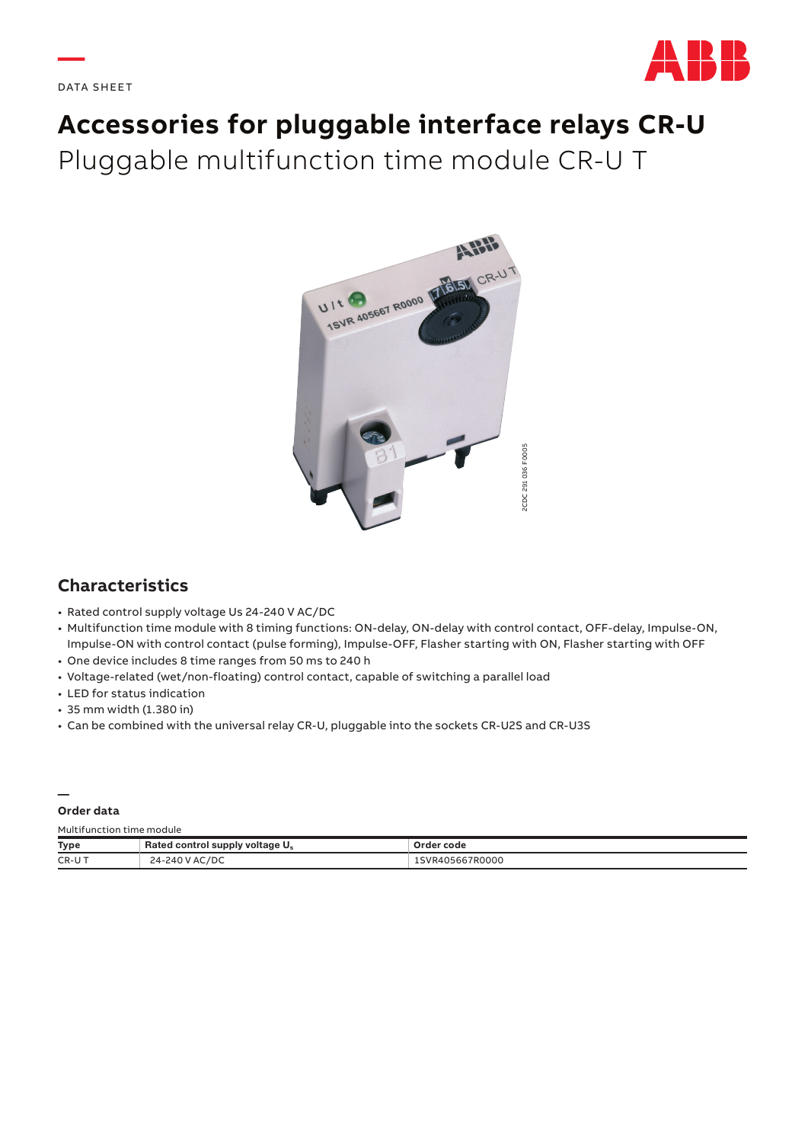**—**



# **Accessories for pluggable interface relays CR-U**  Pluggable multifunction time module CR-U T



# **Characteristics**

- Rated control supply voltage Us 24-240 V AC/DC
- Multifunction time module with 8 timing functions: ON-delay, ON-delay with control contact, OFF-delay, Impulse-ON, Impulse-ON with control contact (pulse forming), Impulse-OFF, Flasher starting with ON, Flasher starting with OFF
- One device includes 8 time ranges from 50 ms to 240 h
- Voltage-related (wet/non-floating) control contact, capable of switching a parallel load
- LED for status indication
- 35 mm width (1.380 in)
- Can be combined with the universal relay CR-U, pluggable into the sockets CR-U2S and CR-U3S

#### **—**

**Order data**

Multifunction time module

| Type  | Rated control supply voltage U <sub>s</sub> | Order code      |  |  |
|-------|---------------------------------------------|-----------------|--|--|
| CR-UT | 24-240 V AC/DC                              | 1SVR405667R0000 |  |  |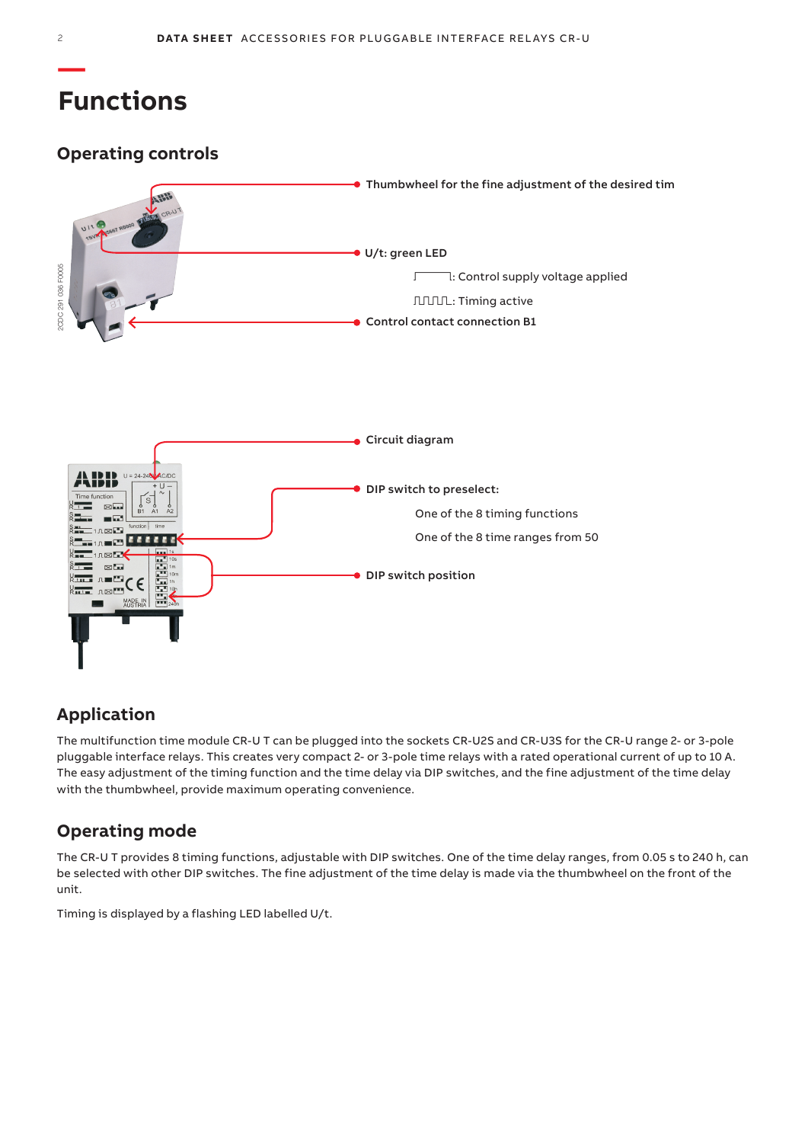# **Functions**

# **Operating controls**



# **Application**

The multifunction time module CR-U T can be plugged into the sockets CR-U2S and CR-U3S for the CR-U range 2- or 3-pole pluggable interface relays. This creates very compact 2- or 3-pole time relays with a rated operational current of up to 10 A. The easy adjustment of the timing function and the time delay via DIP switches, and the fine adjustment of the time delay with the thumbwheel, provide maximum operating convenience.

# **Operating mode**

The CR-U T provides 8 timing functions, adjustable with DIP switches. One of the time delay ranges, from 0.05 s to 240 h, can be selected with other DIP switches. The fine adjustment of the time delay is made via the thumbwheel on the front of the unit.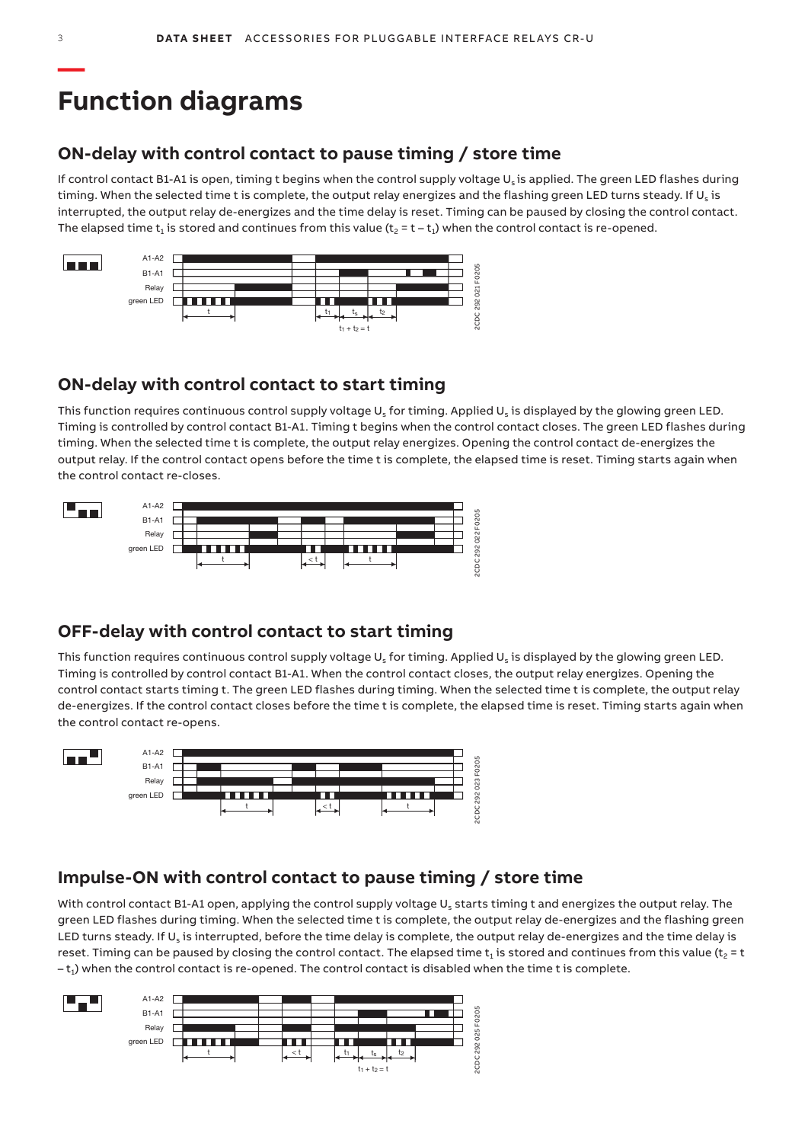# **Function diagrams**

## **ON-delay with control contact to pause timing / store time**

If control contact B1-A1 is open, timing t begins when the control supply voltage Us is applied. The green LED flashes during timing. When the selected time t is complete, the output relay energizes and the flashing green LED turns steady. If  $U_s$  is interrupted, the output relay de-energizes and the time delay is reset. Timing can be paused by closing the control contact. The elapsed time  $t_1$  is stored and continues from this value ( $t_2 = t - t_1$ ) when the control contact is re-opened.



## **ON-delay with control contact to start timing**

This function requires continuous control supply voltage  $U_s$  for timing. Applied  $U_s$  is displayed by the glowing green LED. Timing is controlled by control contact B1-A1. Timing t begins when the control contact closes. The green LED flashes during timing. When the selected time t is complete, the output relay energizes. Opening the control contact de-energizes the output relay. If the control contact opens before the time t is complete, the elapsed time is reset. Timing starts again when the control contact re-closes.



## **OFF-delay with control contact to start timing**

This function requires continuous control supply voltage  $U_s$  for timing. Applied  $U_s$  is displayed by the glowing green LED. Timing is controlled by control contact B1-A1. When the control contact closes, the output relay energizes. Opening the control contact starts timing t. The green LED flashes during timing. When the selected time t is complete, the output relay de-energizes. If the control contact closes before the time t is complete, the elapsed time is reset. Timing starts again when the control contact re-opens.



## **Impulse-ON with control contact to pause timing / store time**

With control contact B1-A1 open, applying the control supply voltage U<sub>s</sub> starts timing t and energizes the output relay. The green LED flashes during timing. When the selected time t is complete, the output relay de-energizes and the flashing green LED turns steady. If  $U_s$  is interrupted, before the time delay is complete, the output relay de-energizes and the time delay is reset. Timing can be paused by closing the control contact. The elapsed time  $t_1$  is stored and continues from this value ( $t_2$  = t  $-t_1$ ) when the control contact is re-opened. The control contact is disabled when the time t is complete.

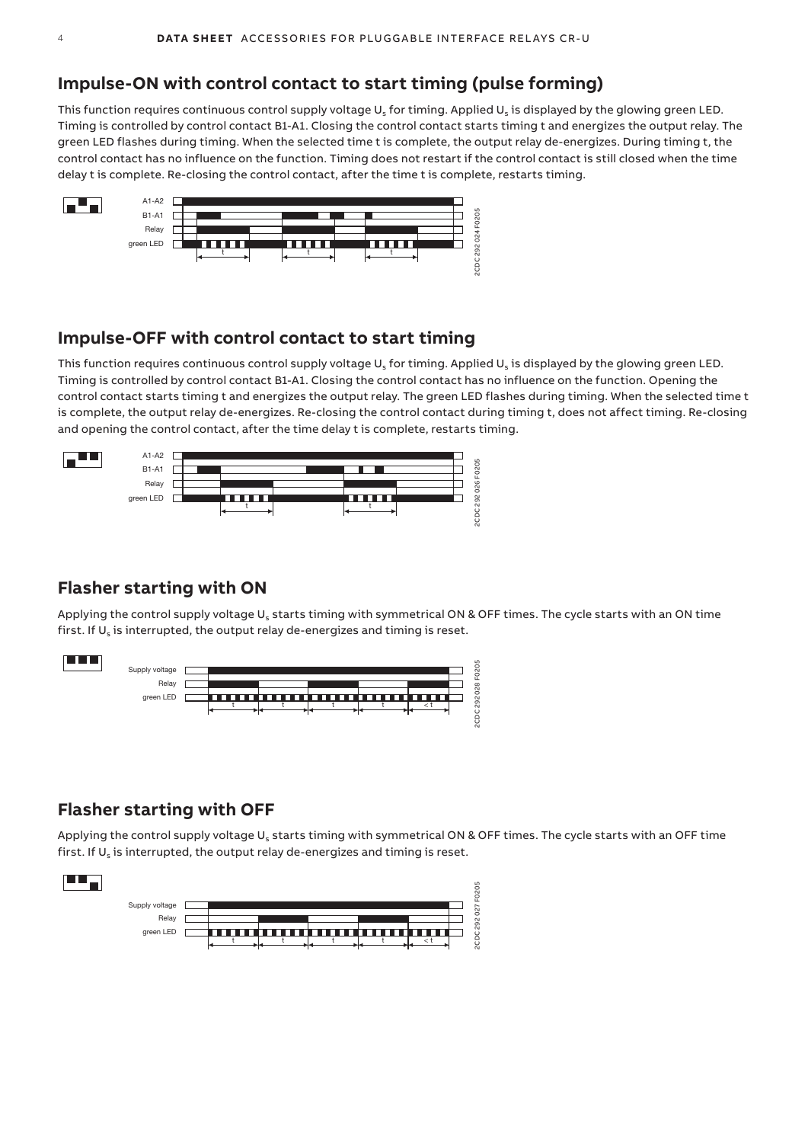## **Impulse-ON with control contact to start timing (pulse forming)**

This function requires continuous control supply voltage  $U_s$  for timing. Applied  $U_s$  is displayed by the glowing green LED. Timing is controlled by control contact B1-A1. Closing the control contact starts timing t and energizes the output relay. The green LED flashes during timing. When the selected time t is complete, the output relay de-energizes. During timing t, the control contact has no influence on the function. Timing does not restart if the control contact is still closed when the time delay t is complete. Re-closing the control contact, after the time t is complete, restarts timing.



## **Impulse-OFF with control contact to start timing**

This function requires continuous control supply voltage  $U_s$  for timing. Applied  $U_s$  is displayed by the glowing green LED. Timing is controlled by control contact B1-A1. Closing the control contact has no influence on the function. Opening the control contact starts timing t and energizes the output relay. The green LED flashes during timing. When the selected time t is complete, the output relay de-energizes. Re-closing the control contact during timing t, does not affect timing. Re-closing and opening the control contact, after the time delay t is complete, restarts timing.



## **Flasher starting with ON**

Applying the control supply voltage U<sub>s</sub> starts timing with symmetrical ON & OFF times. The cycle starts with an ON time first. If  $U_s$  is interrupted, the output relay de-energizes and timing is reset.



## **Flasher starting with OFF**

Applying the control supply voltage U<sub>s</sub> starts timing with symmetrical ON & OFF times. The cycle starts with an OFF time first. If  $U_s$  is interrupted, the output relay de-energizes and timing is reset.

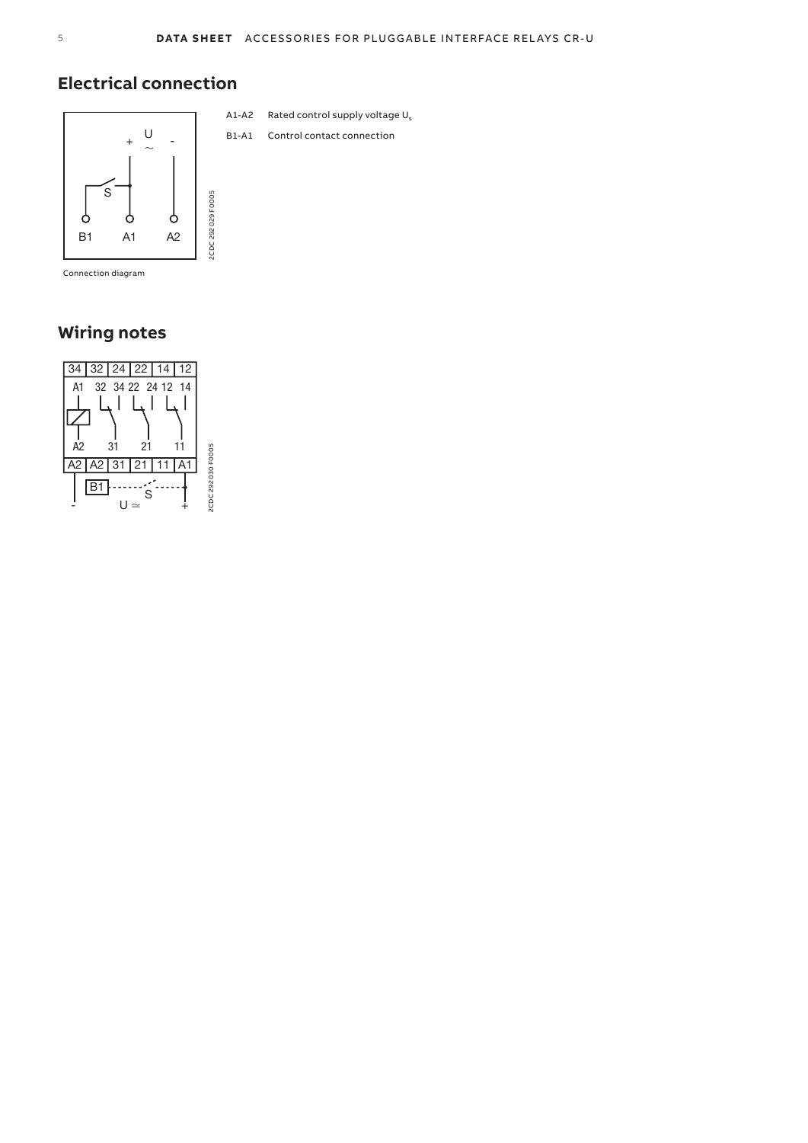# **Electrical connection**



Connection diagram

# **Wiring notes**



- A1-A2 Rated control supply voltage  $U_s$
- B1-A1 Control contact connection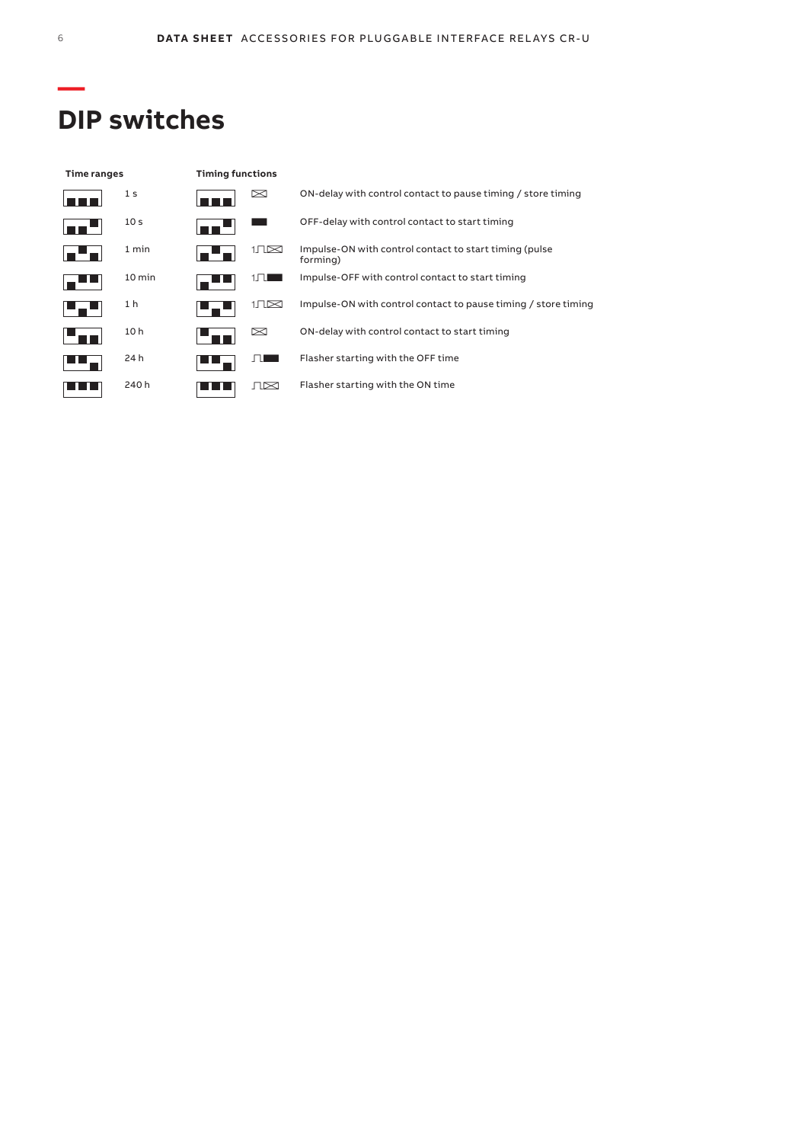# **DIP switches**

| Time ranges |                  | <b>Timing functions</b> |             |                                                                     |
|-------------|------------------|-------------------------|-------------|---------------------------------------------------------------------|
|             | 1 <sub>s</sub>   |                         | ⊠           | ON-delay with control contact to pause timing / store timing        |
|             | 10 <sub>s</sub>  |                         |             | OFF-delay with control contact to start timing                      |
|             | 1 min            |                         | $1\sqrt{2}$ | Impulse-ON with control contact to start timing (pulse)<br>forming) |
|             | $10 \text{ min}$ |                         |             | Impulse-OFF with control contact to start timing                    |
|             | 1 <sub>h</sub>   |                         | 1.TL⊠       | Impulse-ON with control contact to pause timing / store timing      |
|             | 10 <sub>h</sub>  |                         | ⊠           | ON-delay with control contact to start timing                       |
|             | 24 h             |                         |             | Flasher starting with the OFF time                                  |
|             | 240 h            |                         | ⊥।⊠         | Flasher starting with the ON time                                   |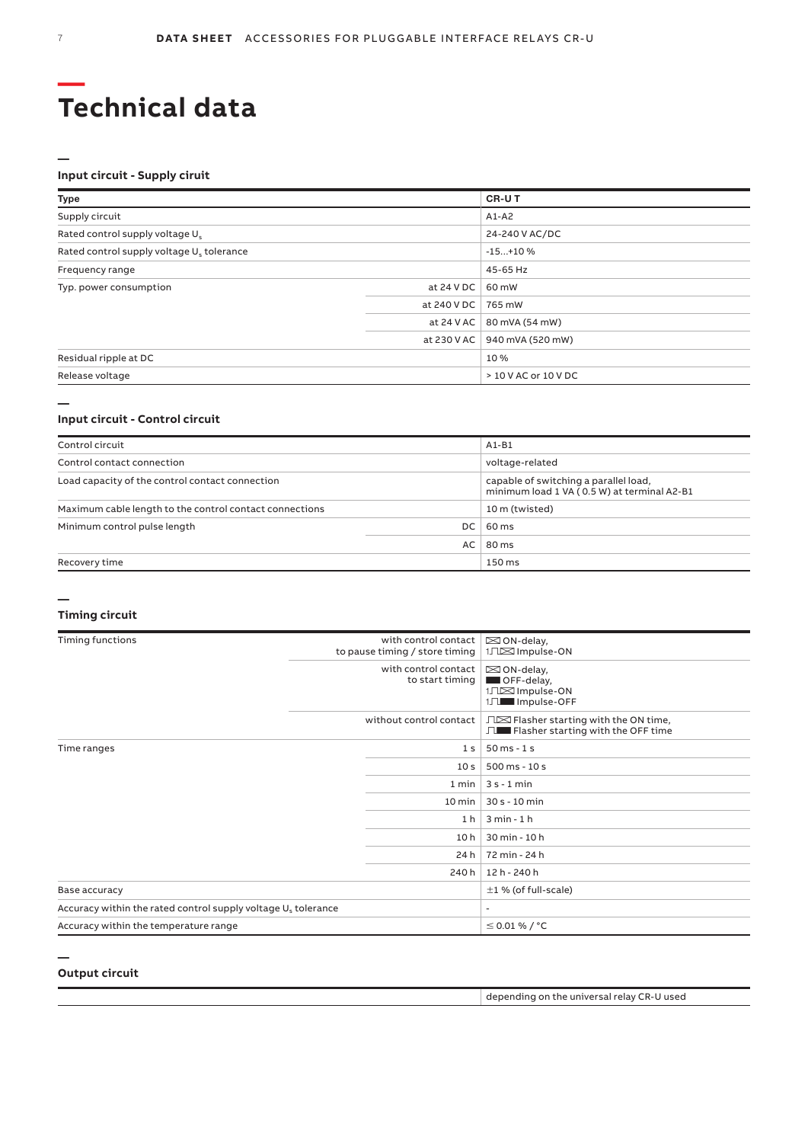# **Technical data —**

### **Input circuit - Supply ciruit**

|                    | CR-UT                   |  |
|--------------------|-------------------------|--|
|                    | $A1-A2$                 |  |
|                    | 24-240 V AC/DC          |  |
|                    | $-15+10%$               |  |
|                    | 45-65 Hz                |  |
| at 24 V DC $\vert$ | 60 mW                   |  |
| at 240 V DC        | 765 mW                  |  |
| at $24$ V AC       | 80 mVA (54 mW)          |  |
| at 230 V AC        | 940 mVA (520 mW)        |  |
|                    | 10 %                    |  |
|                    | $>10$ V AC or $10$ V DC |  |
|                    |                         |  |

#### **Input circuit - Control circuit**

| Control circuit                                         |    | $A1-B1$                                                                              |
|---------------------------------------------------------|----|--------------------------------------------------------------------------------------|
| Control contact connection                              |    | voltage-related                                                                      |
| Load capacity of the control contact connection         |    | capable of switching a parallel load,<br>minimum load 1 VA (0.5 W) at terminal A2-B1 |
| Maximum cable length to the control contact connections |    | 10 m (twisted)                                                                       |
| Minimum control pulse length<br>DC.                     |    | 60 ms                                                                                |
|                                                         | AC | 80 ms                                                                                |
| Recovery time                                           |    | 150 ms                                                                               |

### **Timing circuit**

**—**

| Timing functions                                                          | with control contact<br>to pause timing / store timing | $\boxtimes$ ON-delay,<br>1JIS Impulse-ON                                      |  |
|---------------------------------------------------------------------------|--------------------------------------------------------|-------------------------------------------------------------------------------|--|
|                                                                           | with control contact<br>to start timing                | $\boxtimes$ ON-delay,<br>OFF-delay,<br>1JIS Impulse-ON<br>1JL Impulse-OFF     |  |
|                                                                           | without control contact                                | □ Flasher starting with the ON time,<br>□■ Flasher starting with the OFF time |  |
| Time ranges                                                               | 1 <sub>s</sub>                                         | $50$ ms - 1 s                                                                 |  |
|                                                                           | 10 <sub>s</sub>                                        | 500 ms - 10 s                                                                 |  |
|                                                                           | 1 min                                                  | $3s - 1$ min                                                                  |  |
|                                                                           | 10 min                                                 | $30 s - 10 min$                                                               |  |
|                                                                           | 1 <sub>h</sub>                                         | $3 min - 1 h$                                                                 |  |
|                                                                           | 10 h                                                   | 30 min - 10 h                                                                 |  |
|                                                                           | 24 h                                                   | 72 min - 24 h                                                                 |  |
|                                                                           | 240 h                                                  | 12 h - 240 h                                                                  |  |
| Base accuracy                                                             |                                                        | $\pm 1$ % (of full-scale)                                                     |  |
| Accuracy within the rated control supply voltage U <sub>s</sub> tolerance |                                                        | ٠                                                                             |  |
| Accuracy within the temperature range                                     |                                                        | $≤$ 0.01 % / °C                                                               |  |

### **Output circuit**

**—**

| depending on the universal relay CR-U used |  |  |
|--------------------------------------------|--|--|
|--------------------------------------------|--|--|

**—**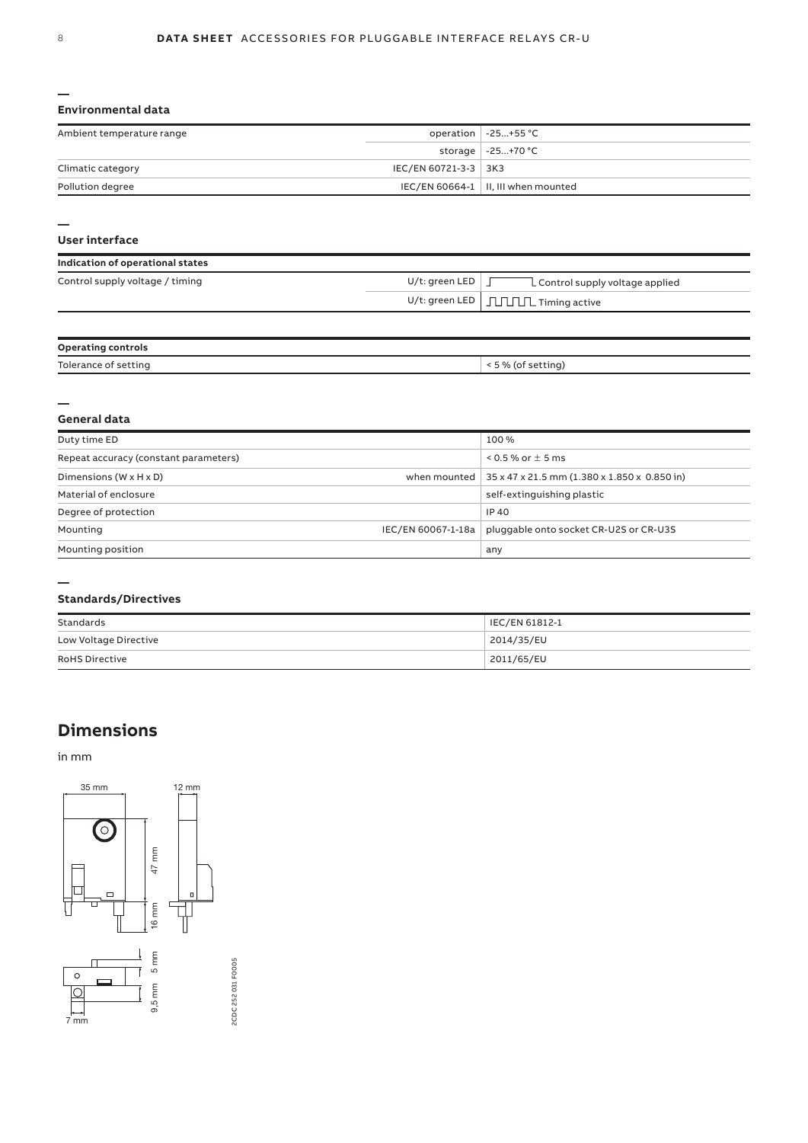#### **Environmental data**

| Ambient temperature range |                      | operation $\vert$ -25+55 °C           |
|---------------------------|----------------------|---------------------------------------|
|                           |                      | storage   -25+70 °C                   |
| Climatic category         | IEC/EN 60721-3-3 3K3 |                                       |
| Pollution degree          |                      | IEC/EN 60664-1   II, III when mounted |

**—**

#### **User interface**

| Indication of operational states |                   |                                                                         |
|----------------------------------|-------------------|-------------------------------------------------------------------------|
| Control supply voltage / timing  | $U/t$ : green LED | L Control supply voltage applied                                        |
|                                  |                   | U/t: green LED $\mid \int_{\mathbb{R}} \int_{\mathbb{R}}$ Timing active |

| <b>Operating controls</b> |                    |
|---------------------------|--------------------|
| Tolerance of setting      | < 5 % (of setting) |

#### **— General data**

| Duty time ED                          | 100 %                                                                   |
|---------------------------------------|-------------------------------------------------------------------------|
| Repeat accuracy (constant parameters) | $0.5$ % or $\pm$ 5 ms                                                   |
| Dimensions ( $W \times H \times D$ )  | when mounted   $35 \times 47 \times 21.5$ mm (1.380 x 1.850 x 0.850 in) |
| Material of enclosure                 | self-extinguishing plastic                                              |
| Degree of protection                  | IP 40                                                                   |
| Mounting                              | pluggable onto socket CR-U2S or CR-U3S<br>IEC/EN 60067-1-18a            |
| Mounting position                     | any                                                                     |

#### **—**

### **Standards/Directives**

| Standards             | IEC/EN 61812-1 |
|-----------------------|----------------|
| Low Voltage Directive | 2014/35/EU     |
| <b>RoHS Directive</b> | 2011/65/EU     |

# **Dimensions**

in mm



2CDC 252 031 F0005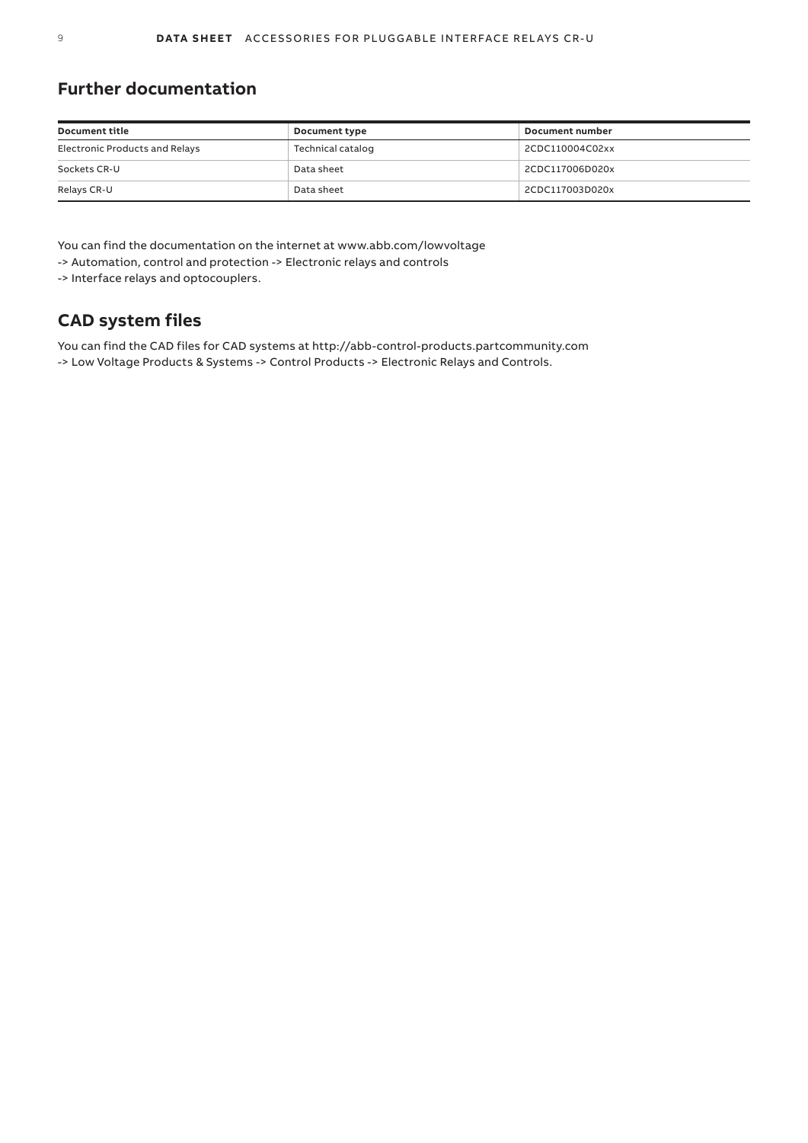# **Further documentation**

| <b>Document title</b>          | Document type     | Document number |
|--------------------------------|-------------------|-----------------|
| Electronic Products and Relays | Technical catalog | 2CDC110004C02xx |
| Sockets CR-U                   | Data sheet        | 2CDC117006D020x |
| Relays CR-U                    | Data sheet        | 2CDC117003D020x |

You can find the documentation on the internet at www.abb.com/lowvoltage -> Automation, control and protection -> Electronic relays and controls

-> Interface relays and optocouplers.

# **CAD system files**

You can find the CAD files for CAD systems at http://abb-control-products.partcommunity.com -> Low Voltage Products & Systems -> Control Products -> Electronic Relays and Controls.